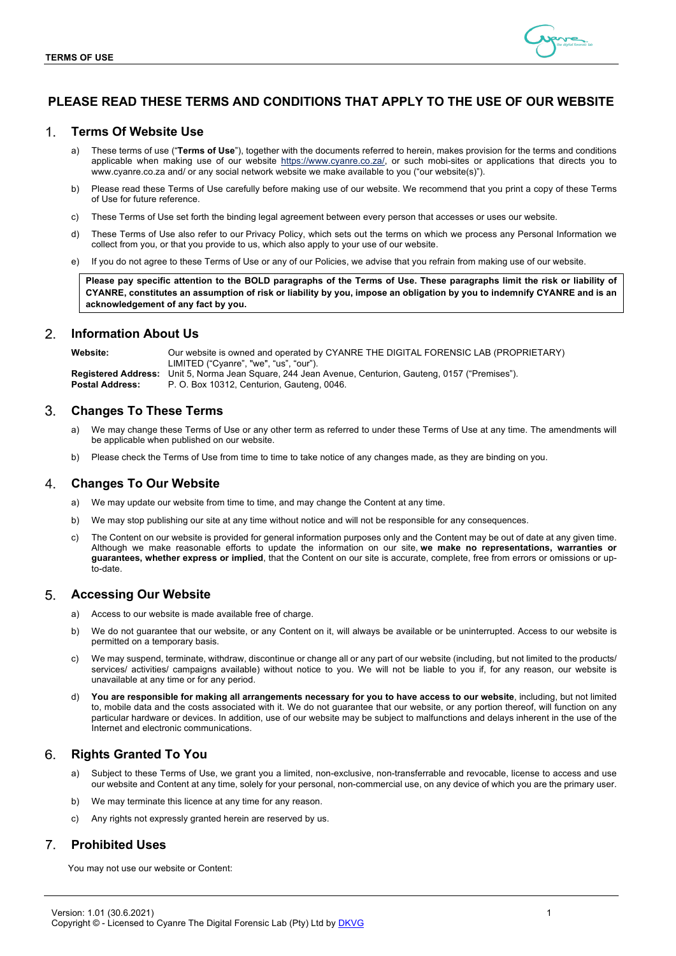

# **PLEASE READ THESE TERMS AND CONDITIONS THAT APPLY TO THE USE OF OUR WEBSITE**

#### $1<sub>1</sub>$ **Terms Of Website Use**

- a) These terms of use ("**Terms of Use**"), together with the documents referred to herein, makes provision for the terms and conditions applicable when making use of our website https://www.cyanre.co.za/, or such mobi-sites or applications that directs you to www.cyanre.co.za and/ or any social network website we make available to you ("our website(s)").
- b) Please read these Terms of Use carefully before making use of our website. We recommend that you print a copy of these Terms of Use for future reference.
- c) These Terms of Use set forth the binding legal agreement between every person that accesses or uses our website.
- d) These Terms of Use also refer to our Privacy Policy, which sets out the terms on which we process any Personal Information we collect from you, or that you provide to us, which also apply to your use of our website.
- e) If you do not agree to these Terms of Use or any of our Policies, we advise that you refrain from making use of our website.

**Please pay specific attention to the BOLD paragraphs of the Terms of Use. These paragraphs limit the risk or liability of CYANRE, constitutes an assumption of risk or liability by you, impose an obligation by you to indemnify CYANRE and is an acknowledgement of any fact by you.**

#### $\mathcal{P}_{\mathcal{C}}$ **Information About Us**

**Website:** Our website is owned and operated by CYANRE THE DIGITAL FORENSIC LAB (PROPRIETARY) LIMITED ("Cyanre", "we", "us", "our"). **Registered Address:** Unit 5, Norma Jean Square, 244 Jean Avenue, Centurion, Gauteng, 0157 ("Premises"). **Postal Address:** P. O. Box 10312, Centurion, Gauteng, 0046.

#### 3. **Changes To These Terms**

- We may change these Terms of Use or any other term as referred to under these Terms of Use at any time. The amendments will be applicable when published on our website.
- b) Please check the Terms of Use from time to time to take notice of any changes made, as they are binding on you.

#### 4. **Changes To Our Website**

- a) We may update our website from time to time, and may change the Content at any time.
- b) We may stop publishing our site at any time without notice and will not be responsible for any consequences.
- c) The Content on our website is provided for general information purposes only and the Content may be out of date at any given time. Although we make reasonable efforts to update the information on our site, **we make no representations, warranties or guarantees, whether express or implied**, that the Content on our site is accurate, complete, free from errors or omissions or upto-date.

#### **Accessing Our Website** 5.

- a) Access to our website is made available free of charge.
- b) We do not guarantee that our website, or any Content on it, will always be available or be uninterrupted. Access to our website is permitted on a temporary basis.
- We may suspend, terminate, withdraw, discontinue or change all or any part of our website (including, but not limited to the products/ services/ activities/ campaigns available) without notice to you. We will not be liable to you if, for any reason, our website is unavailable at any time or for any period.
- You are responsible for making all arrangements necessary for you to have access to our website, including, but not limited to, mobile data and the costs associated with it. We do not guarantee that our website, or any portion thereof, will function on any particular hardware or devices. In addition, use of our website may be subject to malfunctions and delays inherent in the use of the Internet and electronic communications.

#### 6. **Rights Granted To You**

- a) Subject to these Terms of Use, we grant you a limited, non-exclusive, non-transferrable and revocable, license to access and use our website and Content at any time, solely for your personal, non-commercial use, on any device of which you are the primary user.
- b) We may terminate this licence at any time for any reason.
- c) Any rights not expressly granted herein are reserved by us.

#### $\overline{7}$ **Prohibited Uses**

You may not use our website or Content: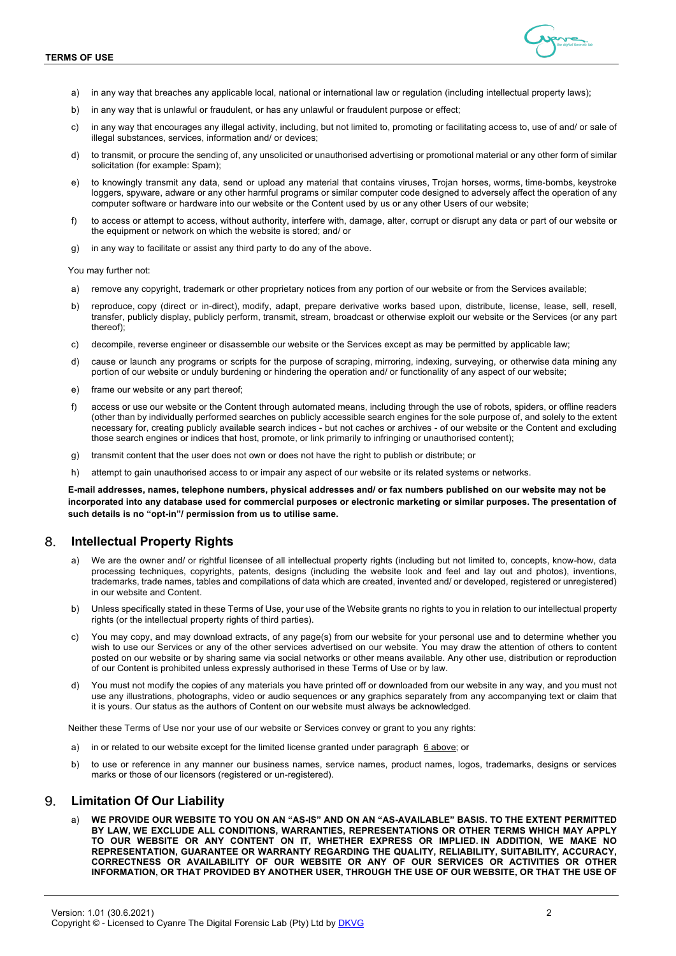

- a) in any way that breaches any applicable local, national or international law or regulation (including intellectual property laws);
- b) in any way that is unlawful or fraudulent, or has any unlawful or fraudulent purpose or effect;
- c) in any way that encourages any illegal activity, including, but not limited to, promoting or facilitating access to, use of and/ or sale of illegal substances, services, information and/ or devices;
- d) to transmit, or procure the sending of, any unsolicited or unauthorised advertising or promotional material or any other form of similar solicitation (for example: Spam);
- e) to knowingly transmit any data, send or upload any material that contains viruses, Trojan horses, worms, time-bombs, keystroke loggers, spyware, adware or any other harmful programs or similar computer code designed to adversely affect the operation of any computer software or hardware into our website or the Content used by us or any other Users of our website;
- f) to access or attempt to access, without authority, interfere with, damage, alter, corrupt or disrupt any data or part of our website or the equipment or network on which the website is stored; and/ or
- g) in any way to facilitate or assist any third party to do any of the above.

You may further not:

- a) remove any copyright, trademark or other proprietary notices from any portion of our website or from the Services available;
- b) reproduce, copy (direct or in-direct), modify, adapt, prepare derivative works based upon, distribute, license, lease, sell, resell, transfer, publicly display, publicly perform, transmit, stream, broadcast or otherwise exploit our website or the Services (or any part thereof);
- c) decompile, reverse engineer or disassemble our website or the Services except as may be permitted by applicable law;
- d) cause or launch any programs or scripts for the purpose of scraping, mirroring, indexing, surveying, or otherwise data mining any portion of our website or unduly burdening or hindering the operation and/ or functionality of any aspect of our website;
- e) frame our website or any part thereof;
- f) access or use our website or the Content through automated means, including through the use of robots, spiders, or offline readers (other than by individually performed searches on publicly accessible search engines for the sole purpose of, and solely to the extent necessary for, creating publicly available search indices - but not caches or archives - of our website or the Content and excluding those search engines or indices that host, promote, or link primarily to infringing or unauthorised content);
- g) transmit content that the user does not own or does not have the right to publish or distribute; or
- h) attempt to gain unauthorised access to or impair any aspect of our website or its related systems or networks.

**E-mail addresses, names, telephone numbers, physical addresses and/ or fax numbers published on our website may not be incorporated into any database used for commercial purposes or electronic marketing or similar purposes. The presentation of such details is no "opt-in"/ permission from us to utilise same.**

# **Intellectual Property Rights**

- a) We are the owner and/ or rightful licensee of all intellectual property rights (including but not limited to, concepts, know-how, data processing techniques, copyrights, patents, designs (including the website look and feel and lay out and photos), inventions, trademarks, trade names, tables and compilations of data which are created, invented and/ or developed, registered or unregistered) in our website and Content.
- b) Unless specifically stated in these Terms of Use, your use of the Website grants no rights to you in relation to our intellectual property rights (or the intellectual property rights of third parties).
- c) You may copy, and may download extracts, of any page(s) from our website for your personal use and to determine whether you wish to use our Services or any of the other services advertised on our website. You may draw the attention of others to content posted on our website or by sharing same via social networks or other means available. Any other use, distribution or reproduction of our Content is prohibited unless expressly authorised in these Terms of Use or by law.
- d) You must not modify the copies of any materials you have printed off or downloaded from our website in any way, and you must not use any illustrations, photographs, video or audio sequences or any graphics separately from any accompanying text or claim that it is yours. Our status as the authors of Content on our website must always be acknowledged.

Neither these Terms of Use nor your use of our website or Services convey or grant to you any rights:

- a) in or related to our website except for the limited license granted under paragraph 6 above; or
- b) to use or reference in any manner our business names, service names, product names, logos, trademarks, designs or services marks or those of our licensors (registered or un-registered).

#### 9. **Limitation Of Our Liability**

a) **WE PROVIDE OUR WEBSITE TO YOU ON AN "AS-IS" AND ON AN "AS-AVAILABLE" BASIS. TO THE EXTENT PERMITTED BY LAW, WE EXCLUDE ALL CONDITIONS, WARRANTIES, REPRESENTATIONS OR OTHER TERMS WHICH MAY APPLY TO OUR WEBSITE OR ANY CONTENT ON IT, WHETHER EXPRESS OR IMPLIED. IN ADDITION, WE MAKE NO REPRESENTATION, GUARANTEE OR WARRANTY REGARDING THE QUALITY, RELIABILITY, SUITABILITY, ACCURACY, CORRECTNESS OR AVAILABILITY OF OUR WEBSITE OR ANY OF OUR SERVICES OR ACTIVITIES OR OTHER INFORMATION, OR THAT PROVIDED BY ANOTHER USER, THROUGH THE USE OF OUR WEBSITE, OR THAT THE USE OF**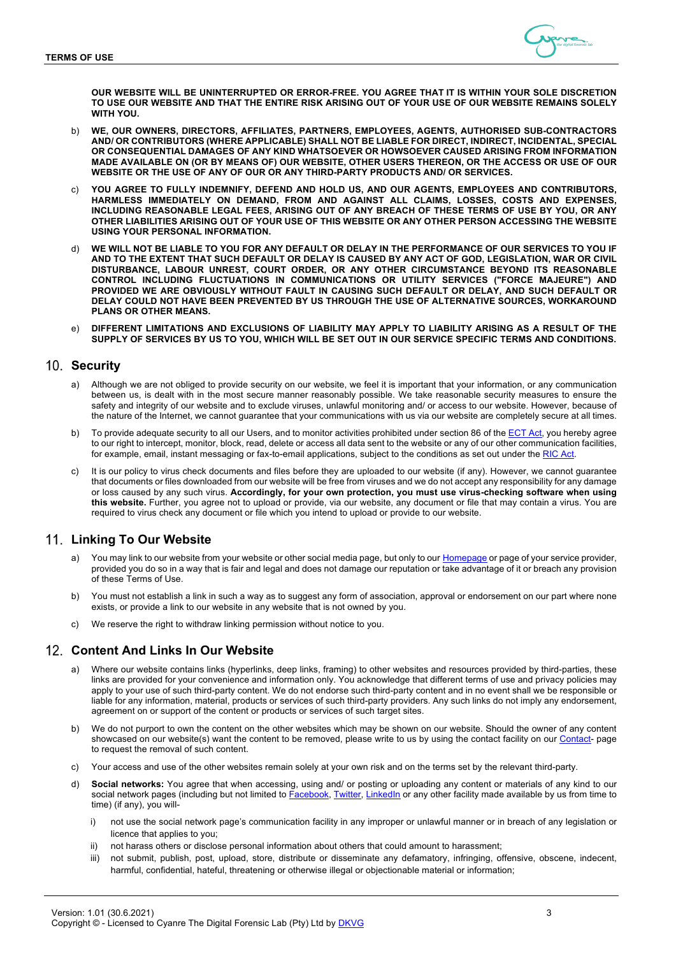

**OUR WEBSITE WILL BE UNINTERRUPTED OR ERROR-FREE. YOU AGREE THAT IT IS WITHIN YOUR SOLE DISCRETION TO USE OUR WEBSITE AND THAT THE ENTIRE RISK ARISING OUT OF YOUR USE OF OUR WEBSITE REMAINS SOLELY WITH YOU.**

- b) **WE, OUR OWNERS, DIRECTORS, AFFILIATES, PARTNERS, EMPLOYEES, AGENTS, AUTHORISED SUB-CONTRACTORS AND/ OR CONTRIBUTORS (WHERE APPLICABLE) SHALL NOT BE LIABLE FOR DIRECT, INDIRECT, INCIDENTAL, SPECIAL OR CONSEQUENTIAL DAMAGES OF ANY KIND WHATSOEVER OR HOWSOEVER CAUSED ARISING FROM INFORMATION MADE AVAILABLE ON (OR BY MEANS OF) OUR WEBSITE, OTHER USERS THEREON, OR THE ACCESS OR USE OF OUR WEBSITE OR THE USE OF ANY OF OUR OR ANY THIRD-PARTY PRODUCTS AND/ OR SERVICES.**
- YOU AGREE TO FULLY INDEMNIFY, DEFEND AND HOLD US, AND OUR AGENTS, EMPLOYEES AND CONTRIBUTORS, **HARMLESS IMMEDIATELY ON DEMAND, FROM AND AGAINST ALL CLAIMS, LOSSES, COSTS AND EXPENSES, INCLUDING REASONABLE LEGAL FEES, ARISING OUT OF ANY BREACH OF THESE TERMS OF USE BY YOU, OR ANY OTHER LIABILITIES ARISING OUT OF YOUR USE OF THIS WEBSITE OR ANY OTHER PERSON ACCESSING THE WEBSITE USING YOUR PERSONAL INFORMATION.**
- WE WILL NOT BE LIABLE TO YOU FOR ANY DEFAULT OR DELAY IN THE PERFORMANCE OF OUR SERVICES TO YOU IF **AND TO THE EXTENT THAT SUCH DEFAULT OR DELAY IS CAUSED BY ANY ACT OF GOD, LEGISLATION, WAR OR CIVIL DISTURBANCE, LABOUR UNREST, COURT ORDER, OR ANY OTHER CIRCUMSTANCE BEYOND ITS REASONABLE CONTROL INCLUDING FLUCTUATIONS IN COMMUNICATIONS OR UTILITY SERVICES ("FORCE MAJEURE") AND PROVIDED WE ARE OBVIOUSLY WITHOUT FAULT IN CAUSING SUCH DEFAULT OR DELAY, AND SUCH DEFAULT OR DELAY COULD NOT HAVE BEEN PREVENTED BY US THROUGH THE USE OF ALTERNATIVE SOURCES, WORKAROUND PLANS OR OTHER MEANS.**
- e) **DIFFERENT LIMITATIONS AND EXCLUSIONS OF LIABILITY MAY APPLY TO LIABILITY ARISING AS A RESULT OF THE SUPPLY OF SERVICES BY US TO YOU, WHICH WILL BE SET OUT IN OUR SERVICE SPECIFIC TERMS AND CONDITIONS.**

### 10. Security

- a) Although we are not obliged to provide security on our website, we feel it is important that your information, or any communication between us, is dealt with in the most secure manner reasonably possible. We take reasonable security measures to ensure the safety and integrity of our website and to exclude viruses, unlawful monitoring and/ or access to our website. However, because of the nature of the Internet, we cannot guarantee that your communications with us via our website are completely secure at all times.
- b) To provide adequate security to all our Users, and to monitor activities prohibited under section 86 of the **ECT Act**, you hereby agree to our right to intercept, monitor, block, read, delete or access all data sent to the website or any of our other communication facilities, for example, email, instant messaging or fax-to-email applications, subject to the conditions as set out under the RIC Act.
- It is our policy to virus check documents and files before they are uploaded to our website (if any). However, we cannot guarantee that documents or files downloaded from our website will be free from viruses and we do not accept any responsibility for any damage or loss caused by any such virus. **Accordingly, for your own protection, you must use virus-checking software when using this website.** Further, you agree not to upload or provide, via our website, any document or file that may contain a virus. You are required to virus check any document or file which you intend to upload or provide to our website.

# **Linking To Our Website**

- You may link to our website from your website or other social media page, but only to our Homepage or page of your service provider, provided you do so in a way that is fair and legal and does not damage our reputation or take advantage of it or breach any provision of these Terms of Use.
- You must not establish a link in such a way as to suggest any form of association, approval or endorsement on our part where none exists, or provide a link to our website in any website that is not owned by you.
- We reserve the right to withdraw linking permission without notice to you.

### **Content And Links In Our Website**

- a) Where our website contains links (hyperlinks, deep links, framing) to other websites and resources provided by third-parties, these links are provided for your convenience and information only. You acknowledge that different terms of use and privacy policies may apply to your use of such third-party content. We do not endorse such third-party content and in no event shall we be responsible or liable for any information, material, products or services of such third-party providers. Any such links do not imply any endorsement, agreement on or support of the content or products or services of such target sites.
- b) We do not purport to own the content on the other websites which may be shown on our website. Should the owner of any content showcased on our website(s) want the content to be removed, please write to us by using the contact facility on our Contact- page to request the removal of such content.
- c) Your access and use of the other websites remain solely at your own risk and on the terms set by the relevant third-party.
- d) **Social networks:** You agree that when accessing, using and/ or posting or uploading any content or materials of any kind to our social network pages (including but not limited to Facebook, Twitter, LinkedIn or any other facility made available by us from time to time) (if any), you will
	- not use the social network page's communication facility in any improper or unlawful manner or in breach of any legislation or licence that applies to you;
	- ii) not harass others or disclose personal information about others that could amount to harassment;
	- iii) not submit, publish, post, upload, store, distribute or disseminate any defamatory, infringing, offensive, obscene, indecent, harmful, confidential, hateful, threatening or otherwise illegal or objectionable material or information;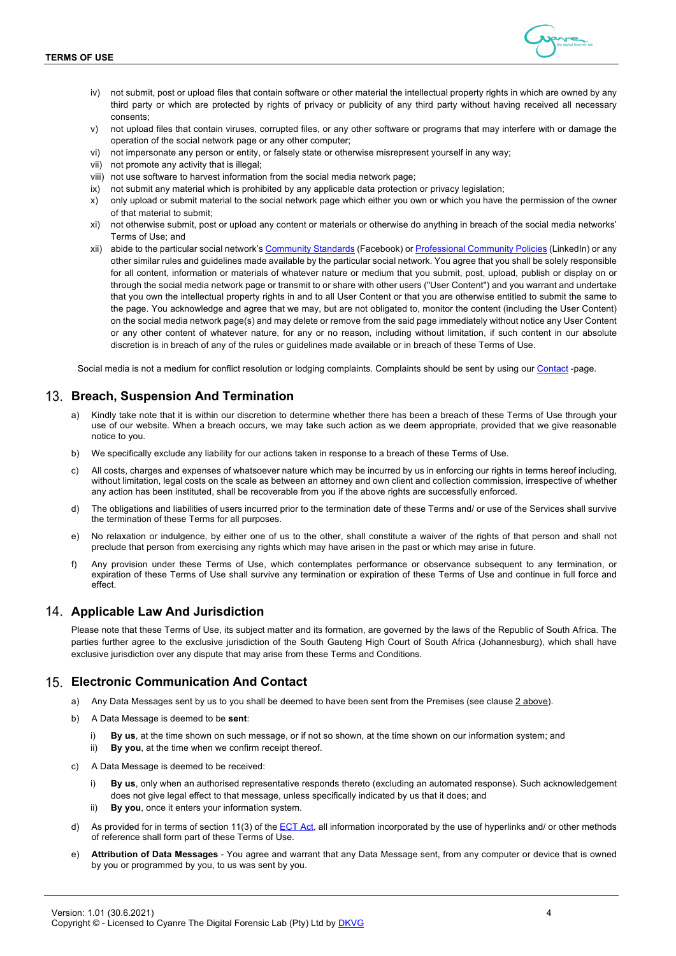

- iv) not submit, post or upload files that contain software or other material the intellectual property rights in which are owned by any third party or which are protected by rights of privacy or publicity of any third party without having received all necessary consents;
- v) not upload files that contain viruses, corrupted files, or any other software or programs that may interfere with or damage the operation of the social network page or any other computer;
- vi) not impersonate any person or entity, or falsely state or otherwise misrepresent yourself in any way;
- vii) not promote any activity that is illegal;
- viii) not use software to harvest information from the social media network page;
- ix) not submit any material which is prohibited by any applicable data protection or privacy legislation;
- x) only upload or submit material to the social network page which either you own or which you have the permission of the owner of that material to submit;
- xi) not otherwise submit, post or upload any content or materials or otherwise do anything in breach of the social media networks' Terms of Use; and
- xii) abide to the particular social network's Community Standards (Facebook) or Professional Community Policies (LinkedIn) or any other similar rules and guidelines made available by the particular social network. You agree that you shall be solely responsible for all content, information or materials of whatever nature or medium that you submit, post, upload, publish or display on or through the social media network page or transmit to or share with other users ("User Content") and you warrant and undertake that you own the intellectual property rights in and to all User Content or that you are otherwise entitled to submit the same to the page. You acknowledge and agree that we may, but are not obligated to, monitor the content (including the User Content) on the social media network page(s) and may delete or remove from the said page immediately without notice any User Content or any other content of whatever nature, for any or no reason, including without limitation, if such content in our absolute discretion is in breach of any of the rules or guidelines made available or in breach of these Terms of Use.

Social media is not a medium for conflict resolution or lodging complaints. Complaints should be sent by using our Contact -page.

### **Breach, Suspension And Termination**

- Kindly take note that it is within our discretion to determine whether there has been a breach of these Terms of Use through your use of our website. When a breach occurs, we may take such action as we deem appropriate, provided that we give reasonable notice to you.
- b) We specifically exclude any liability for our actions taken in response to a breach of these Terms of Use.
- c) All costs, charges and expenses of whatsoever nature which may be incurred by us in enforcing our rights in terms hereof including, without limitation, legal costs on the scale as between an attorney and own client and collection commission, irrespective of whether any action has been instituted, shall be recoverable from you if the above rights are successfully enforced.
- d) The obligations and liabilities of users incurred prior to the termination date of these Terms and/ or use of the Services shall survive the termination of these Terms for all purposes.
- e) No relaxation or indulgence, by either one of us to the other, shall constitute a waiver of the rights of that person and shall not preclude that person from exercising any rights which may have arisen in the past or which may arise in future.
- f) Any provision under these Terms of Use, which contemplates performance or observance subsequent to any termination, or expiration of these Terms of Use shall survive any termination or expiration of these Terms of Use and continue in full force and effect.

### **Applicable Law And Jurisdiction**

Please note that these Terms of Use, its subject matter and its formation, are governed by the laws of the Republic of South Africa. The parties further agree to the exclusive jurisdiction of the South Gauteng High Court of South Africa (Johannesburg), which shall have exclusive jurisdiction over any dispute that may arise from these Terms and Conditions.

### **Electronic Communication And Contact**

- a) Any Data Messages sent by us to you shall be deemed to have been sent from the Premises (see clause 2 above).
- b) A Data Message is deemed to be **sent**:
	- i) **By us**, at the time shown on such message, or if not so shown, at the time shown on our information system; and
	- ii) **By you**, at the time when we confirm receipt thereof.
- c) A Data Message is deemed to be received:
	- By us, only when an authorised representative responds thereto (excluding an automated response). Such acknowledgement does not give legal effect to that message, unless specifically indicated by us that it does; and
	- ii) **By you**, once it enters your information system.
- d) As provided for in terms of section 11(3) of the ECT Act, all information incorporated by the use of hyperlinks and/ or other methods of reference shall form part of these Terms of Use.
- e) **Attribution of Data Messages** You agree and warrant that any Data Message sent, from any computer or device that is owned by you or programmed by you, to us was sent by you.